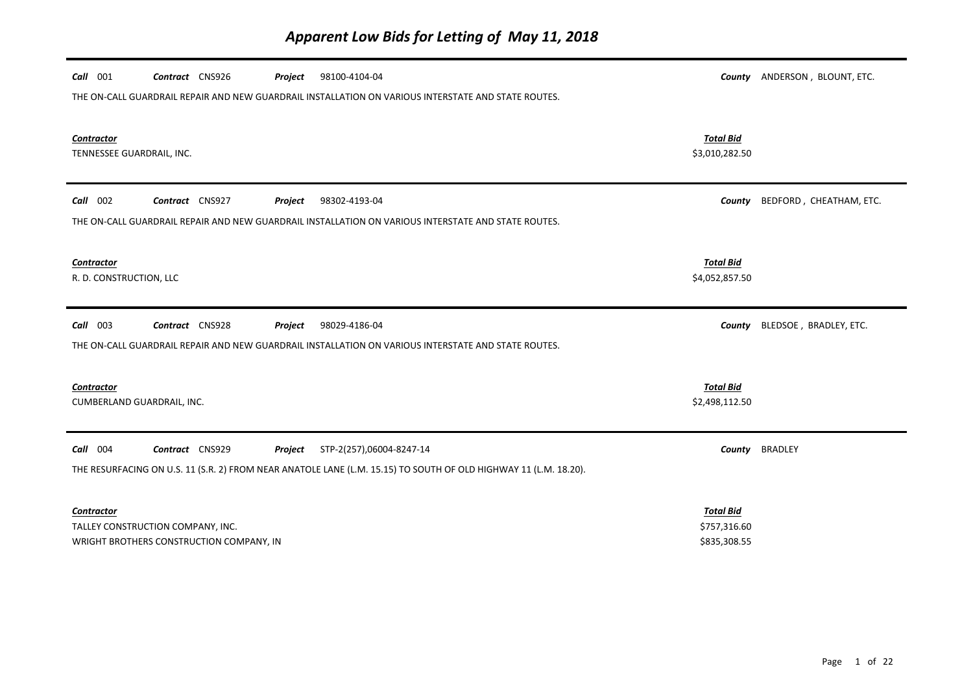| $Call$ 001<br>Contract CNS926<br>98100-4104-04<br>Project                                                        |                                    | County ANDERSON, BLOUNT, ETC. |
|------------------------------------------------------------------------------------------------------------------|------------------------------------|-------------------------------|
| THE ON-CALL GUARDRAIL REPAIR AND NEW GUARDRAIL INSTALLATION ON VARIOUS INTERSTATE AND STATE ROUTES.              |                                    |                               |
|                                                                                                                  |                                    |                               |
| Contractor<br>TENNESSEE GUARDRAIL, INC.                                                                          | <b>Total Bid</b><br>\$3,010,282.50 |                               |
|                                                                                                                  |                                    |                               |
| Call 002<br>Contract CNS927<br>98302-4193-04<br>Project                                                          | County                             | BEDFORD, CHEATHAM, ETC.       |
| THE ON-CALL GUARDRAIL REPAIR AND NEW GUARDRAIL INSTALLATION ON VARIOUS INTERSTATE AND STATE ROUTES.              |                                    |                               |
|                                                                                                                  |                                    |                               |
| <b>Contractor</b>                                                                                                | <b>Total Bid</b>                   |                               |
| R. D. CONSTRUCTION, LLC                                                                                          | \$4,052,857.50                     |                               |
|                                                                                                                  |                                    |                               |
|                                                                                                                  |                                    |                               |
| $Call$ 003<br>Contract CNS928<br>98029-4186-04<br>Project                                                        | County                             | BLEDSOE, BRADLEY, ETC.        |
| THE ON-CALL GUARDRAIL REPAIR AND NEW GUARDRAIL INSTALLATION ON VARIOUS INTERSTATE AND STATE ROUTES.              |                                    |                               |
|                                                                                                                  |                                    |                               |
| <b>Contractor</b>                                                                                                | <b>Total Bid</b>                   |                               |
| CUMBERLAND GUARDRAIL, INC.                                                                                       | \$2,498,112.50                     |                               |
|                                                                                                                  |                                    |                               |
| Call 004<br>Contract CNS929<br>STP-2(257),06004-8247-14<br>Project                                               | County                             | <b>BRADLEY</b>                |
| THE RESURFACING ON U.S. 11 (S.R. 2) FROM NEAR ANATOLE LANE (L.M. 15.15) TO SOUTH OF OLD HIGHWAY 11 (L.M. 18.20). |                                    |                               |
|                                                                                                                  |                                    |                               |
| Contractor<br>TALLEY CONSTRUCTION COMPANY, INC.                                                                  | <b>Total Bid</b><br>\$757,316.60   |                               |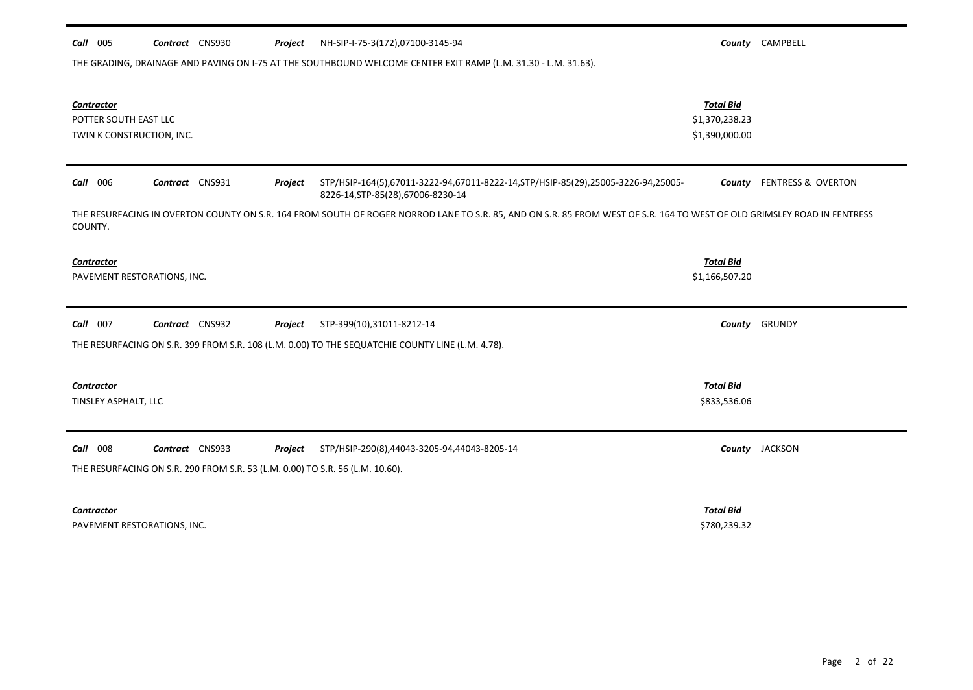| THE GRADING, DRAINAGE AND PAVING ON I-75 AT THE SOUTHBOUND WELCOME CENTER EXIT RAMP (L.M. 31.30 - L.M. 31.63).                                                                     |                                                      |                    |  |  |
|------------------------------------------------------------------------------------------------------------------------------------------------------------------------------------|------------------------------------------------------|--------------------|--|--|
| <b>Contractor</b><br>POTTER SOUTH EAST LLC<br>TWIN K CONSTRUCTION, INC.                                                                                                            | <b>Total Bid</b><br>\$1,370,238.23<br>\$1,390,000.00 |                    |  |  |
| Contract CNS931<br>$Call$ 006<br>Project<br>STP/HSIP-164(5),67011-3222-94,67011-8222-14,STP/HSIP-85(29),25005-3226-94,25005-<br>8226-14, STP-85(28), 67006-8230-14                 | County                                               | FENTRESS & OVERTON |  |  |
| THE RESURFACING IN OVERTON COUNTY ON S.R. 164 FROM SOUTH OF ROGER NORROD LANE TO S.R. 85, AND ON S.R. 85 FROM WEST OF S.R. 164 TO WEST OF OLD GRIMSLEY ROAD IN FENTRESS<br>COUNTY. |                                                      |                    |  |  |
| <b>Contractor</b><br>PAVEMENT RESTORATIONS, INC.                                                                                                                                   | <b>Total Bid</b><br>\$1,166,507.20                   |                    |  |  |
| Call 007<br>Contract CNS932<br>STP-399(10),31011-8212-14<br>Project                                                                                                                |                                                      | County GRUNDY      |  |  |
| THE RESURFACING ON S.R. 399 FROM S.R. 108 (L.M. 0.00) TO THE SEQUATCHIE COUNTY LINE (L.M. 4.78).                                                                                   |                                                      |                    |  |  |
| <b>Contractor</b><br>TINSLEY ASPHALT, LLC                                                                                                                                          | <b>Total Bid</b><br>\$833,536.06                     |                    |  |  |
| Call 008<br>Contract CNS933<br>Project<br>STP/HSIP-290(8),44043-3205-94,44043-8205-14                                                                                              |                                                      | County JACKSON     |  |  |
| THE RESURFACING ON S.R. 290 FROM S.R. 53 (L.M. 0.00) TO S.R. 56 (L.M. 10.60).                                                                                                      |                                                      |                    |  |  |
| Contractor<br>PAVEMENT RESTORATIONS, INC.                                                                                                                                          | <b>Total Bid</b><br>\$780,239.32                     |                    |  |  |

*Call* 005 *Contract* CNS930 *Project County* CAMPBELL NH-SIP-I-75-3(172),07100-3145-94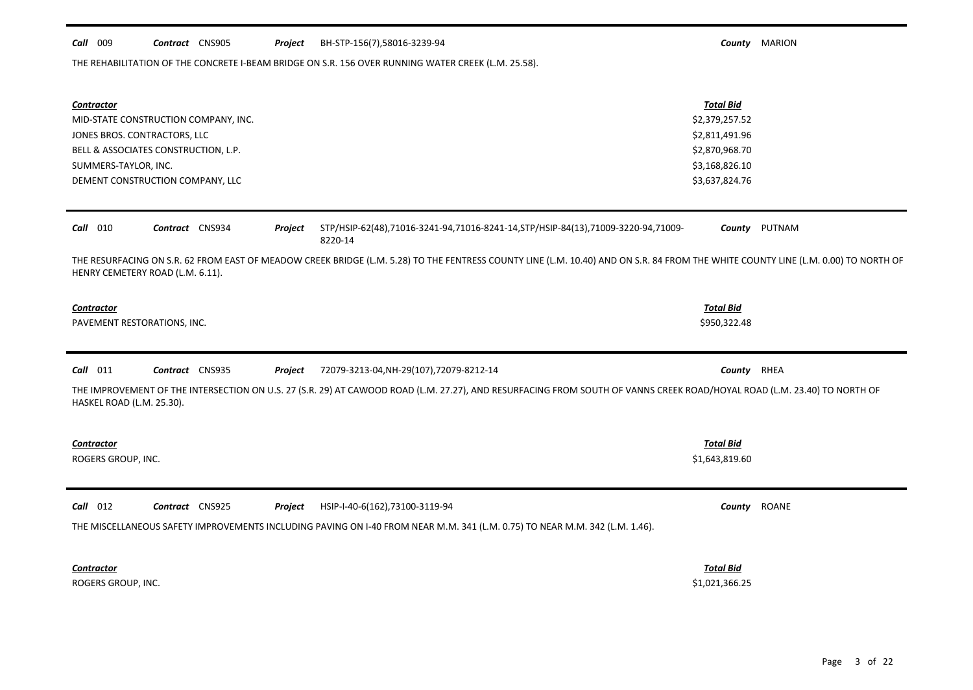### *Call* 009 *Contract* CNS905 *Project County* MARION BH-STP-156(7),58016-3239-94

THE REHABILITATION OF THE CONCRETE I-BEAM BRIDGE ON S.R. 156 OVER RUNNING WATER CREEK (L.M. 25.58).

| Contractor<br>MID-STATE CONSTRUCTION COMPANY, INC.<br>JONES BROS. CONTRACTORS, LLC<br>BELL & ASSOCIATES CONSTRUCTION, L.P.<br>SUMMERS-TAYLOR, INC.<br>DEMENT CONSTRUCTION COMPANY, LLC                                 | <b>Total Bid</b><br>\$2,379,257.52<br>\$2,811,491.96<br>\$2,870,968.70<br>\$3,168,826.10<br>\$3,637,824.76 |               |
|------------------------------------------------------------------------------------------------------------------------------------------------------------------------------------------------------------------------|------------------------------------------------------------------------------------------------------------|---------------|
| $Call$ 010<br>Contract CNS934<br>STP/HSIP-62(48),71016-3241-94,71016-8241-14,STP/HSIP-84(13),71009-3220-94,71009-<br>Project<br>8220-14                                                                                |                                                                                                            | County PUTNAM |
| THE RESURFACING ON S.R. 62 FROM EAST OF MEADOW CREEK BRIDGE (L.M. 5.28) TO THE FENTRESS COUNTY LINE (L.M. 10.40) AND ON S.R. 84 FROM THE WHITE COUNTY LINE (L.M. 0.00) TO NORTH OF<br>HENRY CEMETERY ROAD (L.M. 6.11). |                                                                                                            |               |
| Contractor<br>PAVEMENT RESTORATIONS, INC.                                                                                                                                                                              | <b>Total Bid</b><br>\$950,322.48                                                                           |               |
|                                                                                                                                                                                                                        |                                                                                                            |               |
| $Call$ 011<br>Contract CNS935<br>Project<br>72079-3213-04, NH-29(107), 72079-8212-14                                                                                                                                   | County RHEA                                                                                                |               |
| THE IMPROVEMENT OF THE INTERSECTION ON U.S. 27 (S.R. 29) AT CAWOOD ROAD (L.M. 27.27), AND RESURFACING FROM SOUTH OF VANNS CREEK ROAD/HOYAL ROAD (L.M. 23.40) TO NORTH OF<br>HASKEL ROAD (L.M. 25.30).                  |                                                                                                            |               |
| Contractor                                                                                                                                                                                                             | <b>Total Bid</b>                                                                                           |               |
| ROGERS GROUP, INC.                                                                                                                                                                                                     | \$1,643,819.60                                                                                             |               |
| $Call$ 012<br>Contract CNS925<br>HSIP-I-40-6(162),73100-3119-94<br>Project                                                                                                                                             |                                                                                                            | County ROANE  |
| THE MISCELLANEOUS SAFETY IMPROVEMENTS INCLUDING PAVING ON I-40 FROM NEAR M.M. 341 (L.M. 0.75) TO NEAR M.M. 342 (L.M. 1.46).                                                                                            |                                                                                                            |               |
| Contractor                                                                                                                                                                                                             | <b>Total Bid</b>                                                                                           |               |
|                                                                                                                                                                                                                        |                                                                                                            |               |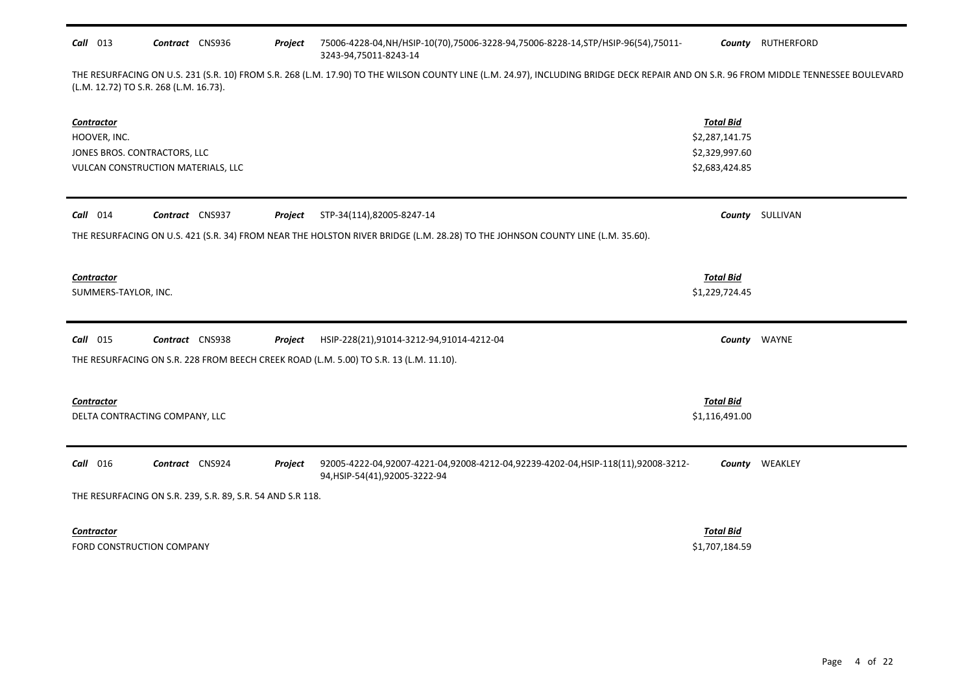# *Call* 013 *Contract* CNS936 *Project County* RUTHERFORD 75006-4228-04,NH/HSIP-10(70),75006-3228-94,75006-8228-14,STP/HSIP-96(54),75011- 3243-94,75011-8243-14

THE RESURFACING ON U.S. 231 (S.R. 10) FROM S.R. 268 (L.M. 17.90) TO THE WILSON COUNTY LINE (L.M. 24.97), INCLUDING BRIDGE DECK REPAIR AND ON S.R. 96 FROM MIDDLE TENNESSEE BOULEVARD (L.M. 12.72) TO S.R. 268 (L.M. 16.73).

| <b>Contractor</b><br>HOOVER, INC.<br>JONES BROS. CONTRACTORS, LLC<br>VULCAN CONSTRUCTION MATERIALS, LLC                                                      | <b>Total Bid</b><br>\$2,287,141.75<br>\$2,329,997.60<br>\$2,683,424.85 |                        |
|--------------------------------------------------------------------------------------------------------------------------------------------------------------|------------------------------------------------------------------------|------------------------|
| STP-34(114),82005-8247-14<br>$Call$ 014<br>Contract CNS937<br>Project                                                                                        |                                                                        | <b>County</b> SULLIVAN |
| THE RESURFACING ON U.S. 421 (S.R. 34) FROM NEAR THE HOLSTON RIVER BRIDGE (L.M. 28.28) TO THE JOHNSON COUNTY LINE (L.M. 35.60).                               |                                                                        |                        |
| Contractor<br>SUMMERS-TAYLOR, INC.                                                                                                                           | <b>Total Bid</b><br>\$1,229,724.45                                     |                        |
| <b>Call</b> 015<br>Contract CNS938<br>Project<br>HSIP-228(21),91014-3212-94,91014-4212-04                                                                    |                                                                        | County WAYNE           |
| THE RESURFACING ON S.R. 228 FROM BEECH CREEK ROAD (L.M. 5.00) TO S.R. 13 (L.M. 11.10).                                                                       |                                                                        |                        |
| <b>Contractor</b>                                                                                                                                            | <b>Total Bid</b>                                                       |                        |
| DELTA CONTRACTING COMPANY, LLC                                                                                                                               | \$1,116,491.00                                                         |                        |
| Call 016<br>Contract CNS924<br>Project<br>92005-4222-04,92007-4221-04,92008-4212-04,92239-4202-04,HSIP-118(11),92008-3212-<br>94, HSIP-54(41), 92005-3222-94 |                                                                        | <b>County WEAKLEY</b>  |
| THE RESURFACING ON S.R. 239, S.R. 89, S.R. 54 AND S.R 118.                                                                                                   |                                                                        |                        |
| Contractor                                                                                                                                                   | <b>Total Bid</b>                                                       |                        |
| FORD CONSTRUCTION COMPANY                                                                                                                                    | \$1,707,184.59                                                         |                        |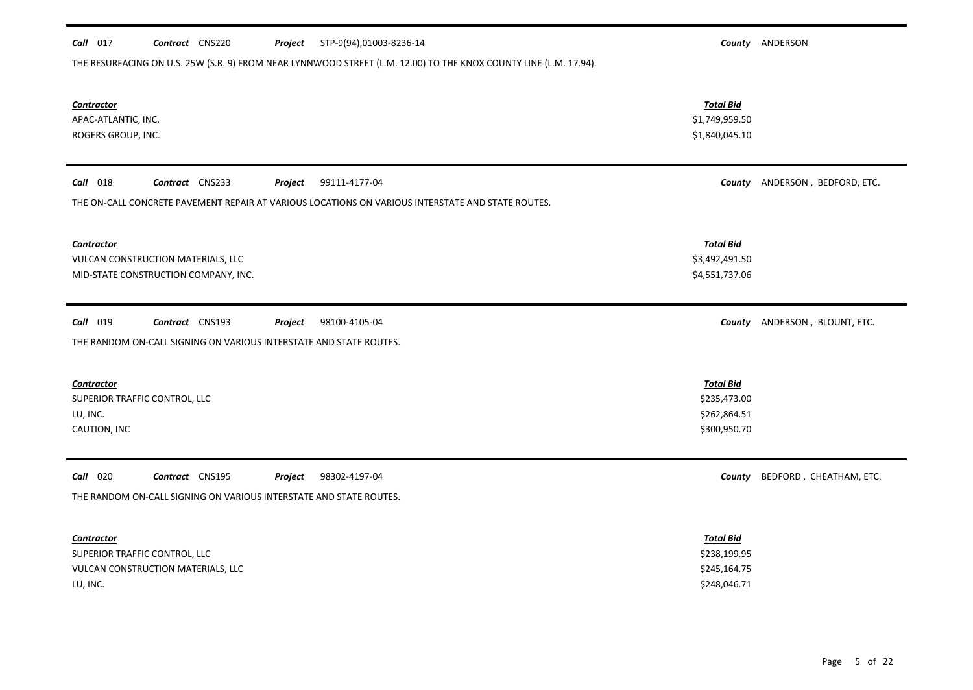| $Call$ 017                    | Contract CNS220                                                    | Project | STP-9(94),01003-8236-14                                                                                           |                  | County ANDERSON                |
|-------------------------------|--------------------------------------------------------------------|---------|-------------------------------------------------------------------------------------------------------------------|------------------|--------------------------------|
|                               |                                                                    |         | THE RESURFACING ON U.S. 25W (S.R. 9) FROM NEAR LYNNWOOD STREET (L.M. 12.00) TO THE KNOX COUNTY LINE (L.M. 17.94). |                  |                                |
|                               |                                                                    |         |                                                                                                                   |                  |                                |
| <b>Contractor</b>             |                                                                    |         |                                                                                                                   | <b>Total Bid</b> |                                |
| APAC-ATLANTIC, INC.           |                                                                    |         |                                                                                                                   | \$1,749,959.50   |                                |
| ROGERS GROUP, INC.            |                                                                    |         |                                                                                                                   | \$1,840,045.10   |                                |
|                               |                                                                    |         |                                                                                                                   |                  |                                |
| <b>Call</b> 018               | Contract CNS233                                                    | Project | 99111-4177-04                                                                                                     |                  | County ANDERSON, BEDFORD, ETC. |
|                               |                                                                    |         |                                                                                                                   |                  |                                |
|                               |                                                                    |         | THE ON-CALL CONCRETE PAVEMENT REPAIR AT VARIOUS LOCATIONS ON VARIOUS INTERSTATE AND STATE ROUTES.                 |                  |                                |
|                               |                                                                    |         |                                                                                                                   |                  |                                |
| <b>Contractor</b>             |                                                                    |         |                                                                                                                   | <b>Total Bid</b> |                                |
|                               | VULCAN CONSTRUCTION MATERIALS, LLC                                 |         |                                                                                                                   | \$3,492,491.50   |                                |
|                               | MID-STATE CONSTRUCTION COMPANY, INC.                               |         |                                                                                                                   | \$4,551,737.06   |                                |
|                               |                                                                    |         |                                                                                                                   |                  |                                |
| Call 019                      | Contract CNS193                                                    | Project | 98100-4105-04                                                                                                     |                  | County ANDERSON, BLOUNT, ETC.  |
|                               | THE RANDOM ON-CALL SIGNING ON VARIOUS INTERSTATE AND STATE ROUTES. |         |                                                                                                                   |                  |                                |
|                               |                                                                    |         |                                                                                                                   |                  |                                |
| <b>Contractor</b>             |                                                                    |         |                                                                                                                   | <b>Total Bid</b> |                                |
| SUPERIOR TRAFFIC CONTROL, LLC |                                                                    |         |                                                                                                                   | \$235,473.00     |                                |
| LU, INC.                      |                                                                    |         |                                                                                                                   | \$262,864.51     |                                |
| CAUTION, INC                  |                                                                    |         |                                                                                                                   | \$300,950.70     |                                |
|                               |                                                                    |         |                                                                                                                   |                  |                                |
| <b>Call</b> 020               | Contract CNS195                                                    | Project | 98302-4197-04                                                                                                     | County           | BEDFORD, CHEATHAM, ETC.        |
|                               | THE RANDOM ON-CALL SIGNING ON VARIOUS INTERSTATE AND STATE ROUTES. |         |                                                                                                                   |                  |                                |
|                               |                                                                    |         |                                                                                                                   |                  |                                |
| Contractor                    |                                                                    |         |                                                                                                                   | <b>Total Bid</b> |                                |
| SUPERIOR TRAFFIC CONTROL, LLC |                                                                    |         |                                                                                                                   | \$238,199.95     |                                |
|                               | VULCAN CONSTRUCTION MATERIALS, LLC                                 |         |                                                                                                                   | \$245,164.75     |                                |
| LU, INC.                      |                                                                    |         |                                                                                                                   | \$248,046.71     |                                |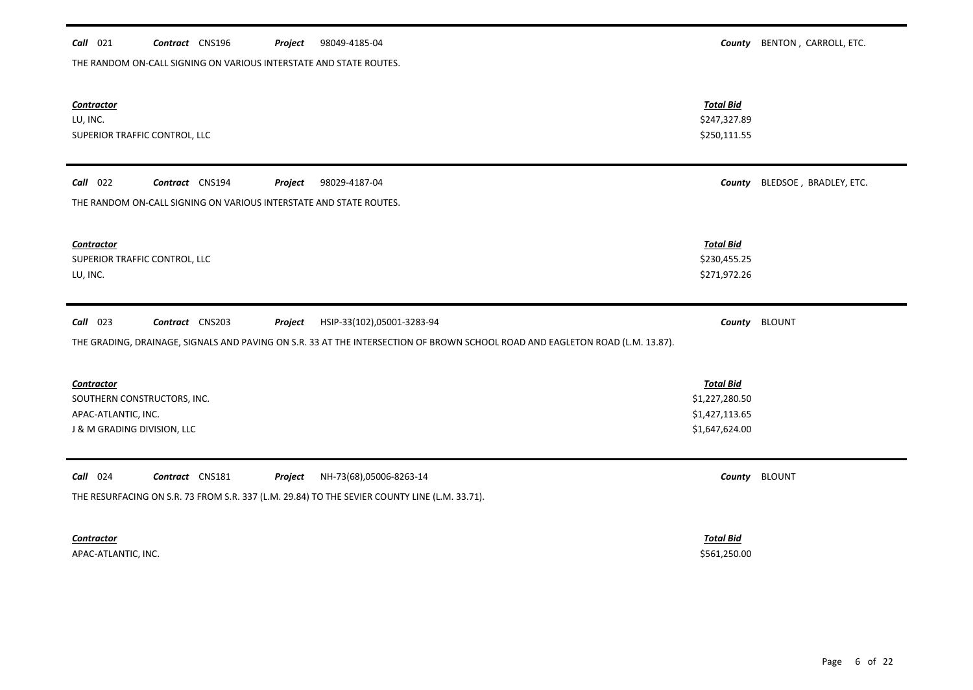| $Call$ 021<br>98049-4185-04<br>Contract CNS196<br>Project                                                                     | County                           | BENTON, CARROLL, ETC.  |
|-------------------------------------------------------------------------------------------------------------------------------|----------------------------------|------------------------|
| THE RANDOM ON-CALL SIGNING ON VARIOUS INTERSTATE AND STATE ROUTES.                                                            |                                  |                        |
|                                                                                                                               |                                  |                        |
|                                                                                                                               |                                  |                        |
| <b>Contractor</b>                                                                                                             | <b>Total Bid</b>                 |                        |
| LU, INC.                                                                                                                      | \$247,327.89                     |                        |
| SUPERIOR TRAFFIC CONTROL, LLC                                                                                                 | \$250,111.55                     |                        |
|                                                                                                                               |                                  |                        |
| $Call$ 022<br>Contract CNS194<br>98029-4187-04<br>Project                                                                     | County                           | BLEDSOE, BRADLEY, ETC. |
| THE RANDOM ON-CALL SIGNING ON VARIOUS INTERSTATE AND STATE ROUTES.                                                            |                                  |                        |
|                                                                                                                               |                                  |                        |
|                                                                                                                               |                                  |                        |
| <b>Contractor</b>                                                                                                             | <b>Total Bid</b>                 |                        |
| SUPERIOR TRAFFIC CONTROL, LLC                                                                                                 | \$230,455.25                     |                        |
| LU, INC.                                                                                                                      | \$271,972.26                     |                        |
|                                                                                                                               |                                  |                        |
|                                                                                                                               |                                  |                        |
|                                                                                                                               |                                  |                        |
| $Call$ 023<br>Contract CNS203<br>Project<br>HSIP-33(102),05001-3283-94                                                        |                                  | County BLOUNT          |
| THE GRADING, DRAINAGE, SIGNALS AND PAVING ON S.R. 33 AT THE INTERSECTION OF BROWN SCHOOL ROAD AND EAGLETON ROAD (L.M. 13.87). |                                  |                        |
|                                                                                                                               |                                  |                        |
|                                                                                                                               |                                  |                        |
| <b>Contractor</b>                                                                                                             | <b>Total Bid</b>                 |                        |
| SOUTHERN CONSTRUCTORS, INC.<br>APAC-ATLANTIC, INC.                                                                            | \$1,227,280.50<br>\$1,427,113.65 |                        |
| J & M GRADING DIVISION, LLC                                                                                                   | \$1,647,624.00                   |                        |
|                                                                                                                               |                                  |                        |
|                                                                                                                               |                                  |                        |
| $Call$ 024<br>Contract CNS181<br>Project<br>NH-73(68),05006-8263-14                                                           |                                  | County BLOUNT          |
| THE RESURFACING ON S.R. 73 FROM S.R. 337 (L.M. 29.84) TO THE SEVIER COUNTY LINE (L.M. 33.71).                                 |                                  |                        |
|                                                                                                                               |                                  |                        |
|                                                                                                                               |                                  |                        |
| <b>Contractor</b><br>APAC-ATLANTIC, INC.                                                                                      | <b>Total Bid</b><br>\$561,250.00 |                        |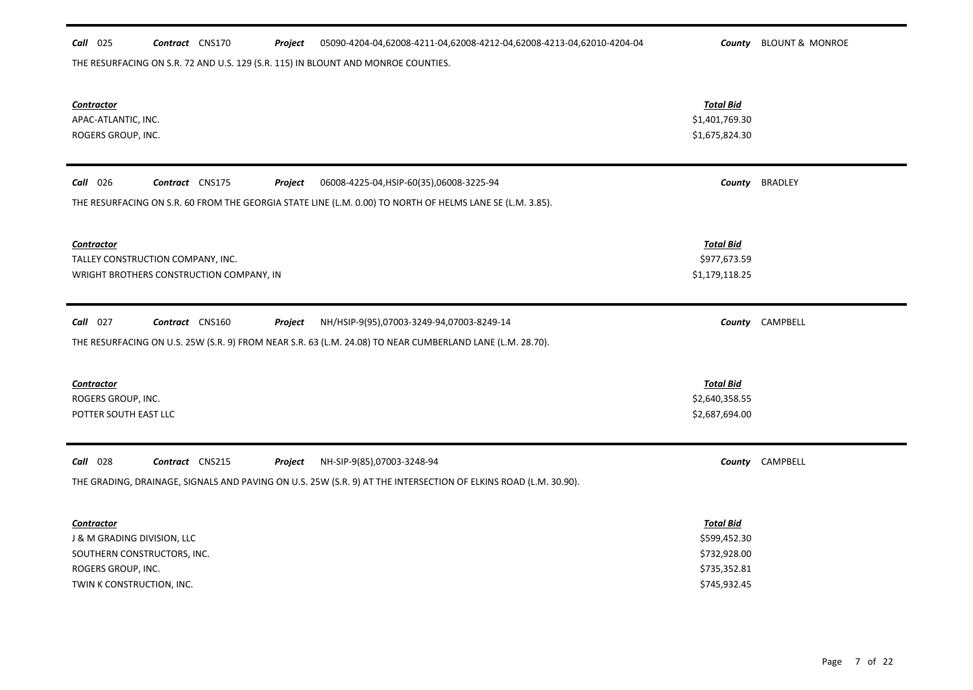### *Call* 025 *Contract* CNS170 *Project County* BLOUNT & MONROE 05090-4204-04,62008-4211-04,62008-4212-04,62008-4213-04,62010-4204-04

THE RESURFACING ON S.R. 72 AND U.S. 129 (S.R. 115) IN BLOUNT AND MONROE COUNTIES.

| Contractor<br>APAC-ATLANTIC, INC.<br>ROGERS GROUP, INC.                                                                                                                                            | <b>Total Bid</b><br>\$1,401,769.30<br>\$1,675,824.30                             |                 |
|----------------------------------------------------------------------------------------------------------------------------------------------------------------------------------------------------|----------------------------------------------------------------------------------|-----------------|
| Contract CNS175<br>Call 026<br>Project<br>06008-4225-04, HSIP-60(35), 06008-3225-94<br>THE RESURFACING ON S.R. 60 FROM THE GEORGIA STATE LINE (L.M. 0.00) TO NORTH OF HELMS LANE SE (L.M. 3.85).   |                                                                                  | County BRADLEY  |
| <b>Contractor</b><br>TALLEY CONSTRUCTION COMPANY, INC.<br>WRIGHT BROTHERS CONSTRUCTION COMPANY, IN                                                                                                 | <b>Total Bid</b><br>\$977,673.59<br>\$1,179,118.25                               |                 |
| $Call$ 027<br>Contract CNS160<br>Project<br>NH/HSIP-9(95),07003-3249-94,07003-8249-14<br>THE RESURFACING ON U.S. 25W (S.R. 9) FROM NEAR S.R. 63 (L.M. 24.08) TO NEAR CUMBERLAND LANE (L.M. 28.70). |                                                                                  | County CAMPBELL |
| <b>Contractor</b><br>ROGERS GROUP, INC.<br>POTTER SOUTH EAST LLC                                                                                                                                   | <b>Total Bid</b><br>\$2,640,358.55<br>\$2,687,694.00                             |                 |
| <b>Call</b> 028<br>Contract CNS215<br>Project<br>NH-SIP-9(85),07003-3248-94<br>THE GRADING, DRAINAGE, SIGNALS AND PAVING ON U.S. 25W (S.R. 9) AT THE INTERSECTION OF ELKINS ROAD (L.M. 30.90).     |                                                                                  | County CAMPBELL |
| <b>Contractor</b><br>J & M GRADING DIVISION, LLC<br>SOUTHERN CONSTRUCTORS, INC.<br>ROGERS GROUP, INC.<br>TWIN K CONSTRUCTION, INC.                                                                 | <b>Total Bid</b><br>\$599,452.30<br>\$732,928.00<br>\$735,352.81<br>\$745,932.45 |                 |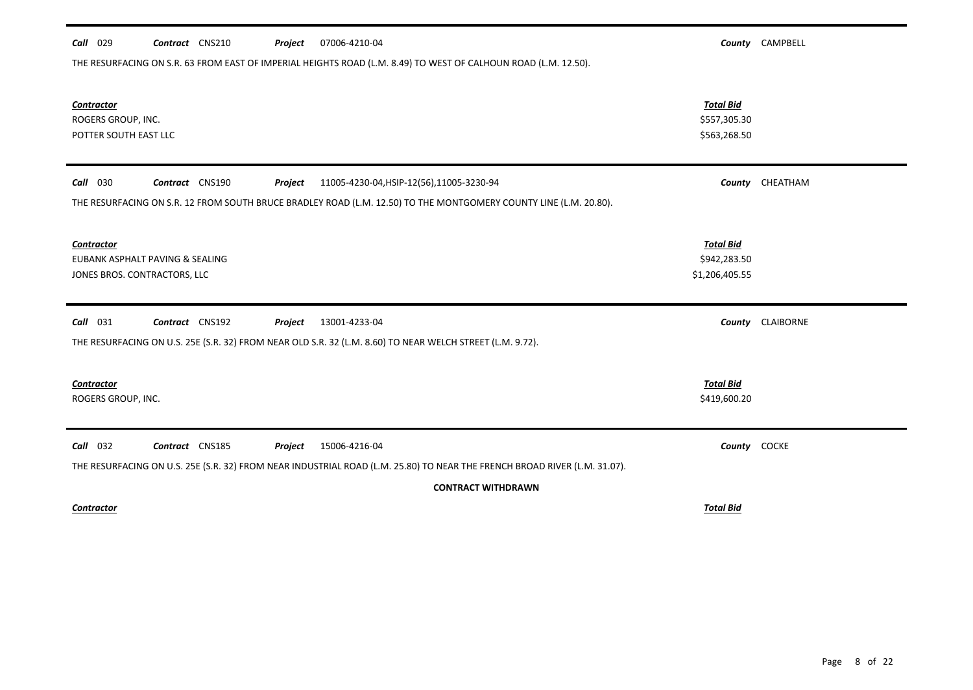| 07006-4210-04<br><b>Call</b> 029<br>Contract CNS210<br>Project                                                            |                                | County CAMPBELL  |
|---------------------------------------------------------------------------------------------------------------------------|--------------------------------|------------------|
| THE RESURFACING ON S.R. 63 FROM EAST OF IMPERIAL HEIGHTS ROAD (L.M. 8.49) TO WEST OF CALHOUN ROAD (L.M. 12.50).           |                                |                  |
|                                                                                                                           |                                |                  |
| Contractor                                                                                                                | <b>Total Bid</b>               |                  |
| ROGERS GROUP, INC.                                                                                                        | \$557,305.30                   |                  |
| POTTER SOUTH EAST LLC                                                                                                     | \$563,268.50                   |                  |
|                                                                                                                           |                                |                  |
| Contract CNS190<br><b>Call</b> 030<br>Project<br>11005-4230-04, HSIP-12(56), 11005-3230-94                                |                                | County CHEATHAM  |
| THE RESURFACING ON S.R. 12 FROM SOUTH BRUCE BRADLEY ROAD (L.M. 12.50) TO THE MONTGOMERY COUNTY LINE (L.M. 20.80).         |                                |                  |
|                                                                                                                           |                                |                  |
| Contractor<br>EUBANK ASPHALT PAVING & SEALING                                                                             | <b>Total Bid</b>               |                  |
| JONES BROS. CONTRACTORS, LLC                                                                                              | \$942,283.50<br>\$1,206,405.55 |                  |
|                                                                                                                           |                                |                  |
| $Call$ 031<br>Contract CNS192<br>13001-4233-04<br>Project                                                                 |                                | County CLAIBORNE |
| THE RESURFACING ON U.S. 25E (S.R. 32) FROM NEAR OLD S.R. 32 (L.M. 8.60) TO NEAR WELCH STREET (L.M. 9.72).                 |                                |                  |
|                                                                                                                           |                                |                  |
| <b>Contractor</b>                                                                                                         | <b>Total Bid</b>               |                  |
| ROGERS GROUP, INC.                                                                                                        | \$419,600.20                   |                  |
|                                                                                                                           |                                |                  |
| $Call$ 032<br>Contract CNS185<br>Project<br>15006-4216-04                                                                 | County COCKE                   |                  |
| THE RESURFACING ON U.S. 25E (S.R. 32) FROM NEAR INDUSTRIAL ROAD (L.M. 25.80) TO NEAR THE FRENCH BROAD RIVER (L.M. 31.07). |                                |                  |
| <b>CONTRACT WITHDRAWN</b>                                                                                                 |                                |                  |
| Contractor                                                                                                                | <b>Total Bid</b>               |                  |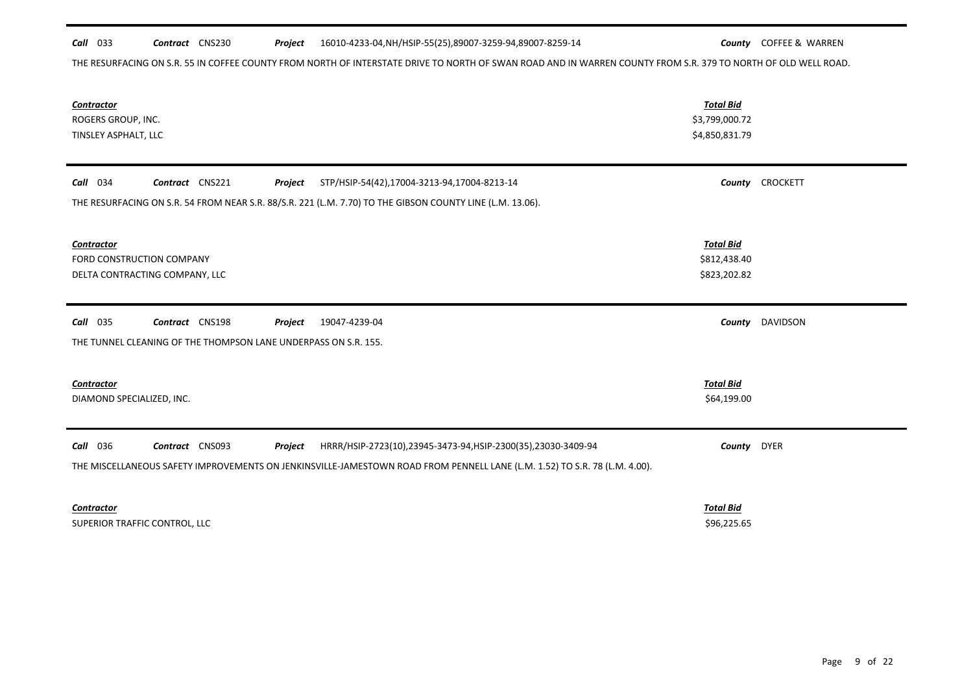THE RESURFACING ON S.R. 55 IN COFFEE COUNTY FROM NORTH OF INTERSTATE DRIVE TO NORTH OF SWAN ROAD AND IN WARREN COUNTY FROM S.R. 379 TO NORTH OF OLD WELL ROAD.

| <b>Contractor</b><br>ROGERS GROUP, INC.<br>TINSLEY ASPHALT, LLC                                                                                                                                                                             | <b>Total Bid</b><br>\$3,799,000.72<br>\$4,850,831.79 |                        |
|---------------------------------------------------------------------------------------------------------------------------------------------------------------------------------------------------------------------------------------------|------------------------------------------------------|------------------------|
| Contract CNS221<br>Call 034<br>Project<br>STP/HSIP-54(42),17004-3213-94,17004-8213-14<br>THE RESURFACING ON S.R. 54 FROM NEAR S.R. 88/S.R. 221 (L.M. 7.70) TO THE GIBSON COUNTY LINE (L.M. 13.06).                                          |                                                      | County CROCKETT        |
| <b>Contractor</b><br>FORD CONSTRUCTION COMPANY<br>DELTA CONTRACTING COMPANY, LLC                                                                                                                                                            | <b>Total Bid</b><br>\$812,438.40<br>\$823,202.82     |                        |
| <b>Call</b> 035<br>Contract CNS198<br>19047-4239-04<br>Project<br>THE TUNNEL CLEANING OF THE THOMPSON LANE UNDERPASS ON S.R. 155.                                                                                                           |                                                      | <b>County</b> DAVIDSON |
| <b>Contractor</b><br>DIAMOND SPECIALIZED, INC.                                                                                                                                                                                              | <b>Total Bid</b><br>\$64,199.00                      |                        |
| <b>Call</b> 036<br>Contract CNS093<br>Project<br>HRRR/HSIP-2723(10),23945-3473-94,HSIP-2300(35),23030-3409-94<br>THE MISCELLANEOUS SAFETY IMPROVEMENTS ON JENKINSVILLE-JAMESTOWN ROAD FROM PENNELL LANE (L.M. 1.52) TO S.R. 78 (L.M. 4.00). | County DYER                                          |                        |
| Contractor<br>SUPERIOR TRAFFIC CONTROL, LLC                                                                                                                                                                                                 | <b>Total Bid</b><br>\$96,225.65                      |                        |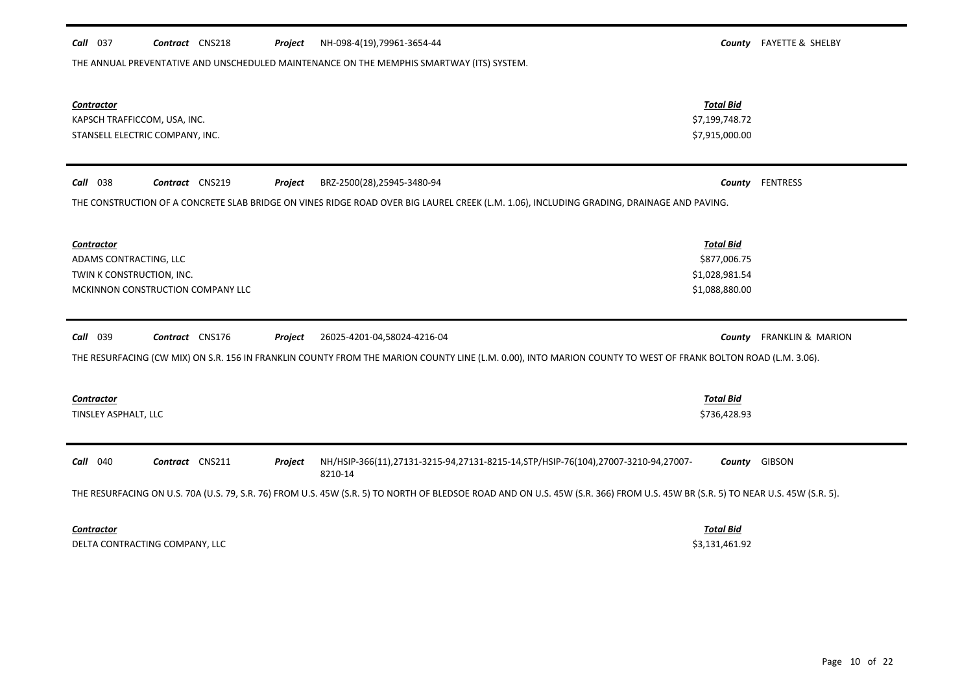| THE ANNUAL PREVENTATIVE AND UNSCHEDULED MAINTENANCE ON THE MEMPHIS SMARTWAY (ITS) SYSTEM.                     |                                                                                                                                                                                |                              |
|---------------------------------------------------------------------------------------------------------------|--------------------------------------------------------------------------------------------------------------------------------------------------------------------------------|------------------------------|
| Contractor<br>KAPSCH TRAFFICCOM, USA, INC.<br>STANSELL ELECTRIC COMPANY, INC.                                 | <b>Total Bid</b><br>\$7,199,748.72<br>\$7,915,000.00                                                                                                                           |                              |
| Contract CNS219<br>Call 038<br>Project                                                                        | BRZ-2500(28),25945-3480-94<br>County                                                                                                                                           | <b>FENTRESS</b>              |
|                                                                                                               | THE CONSTRUCTION OF A CONCRETE SLAB BRIDGE ON VINES RIDGE ROAD OVER BIG LAUREL CREEK (L.M. 1.06), INCLUDING GRADING, DRAINAGE AND PAVING.                                      |                              |
| <b>Contractor</b><br>ADAMS CONTRACTING, LLC<br>TWIN K CONSTRUCTION, INC.<br>MCKINNON CONSTRUCTION COMPANY LLC | <b>Total Bid</b><br>\$877,006.75<br>\$1,028,981.54<br>\$1,088,880.00                                                                                                           |                              |
| <b>Call</b> 039<br>Contract CNS176<br>Project                                                                 | 26025-4201-04,58024-4216-04<br>County                                                                                                                                          | <b>FRANKLIN &amp; MARION</b> |
|                                                                                                               | THE RESURFACING (CW MIX) ON S.R. 156 IN FRANKLIN COUNTY FROM THE MARION COUNTY LINE (L.M. 0.00), INTO MARION COUNTY TO WEST OF FRANK BOLTON ROAD (L.M. 3.06).                  |                              |
| Contractor<br>TINSLEY ASPHALT, LLC                                                                            | <b>Total Bid</b><br>\$736,428.93                                                                                                                                               |                              |
| Contract CNS211<br><b>Call</b> 040<br>Project                                                                 | NH/HSIP-366(11),27131-3215-94,27131-8215-14,STP/HSIP-76(104),27007-3210-94,27007-<br>County<br>8210-14                                                                         | GIBSON                       |
|                                                                                                               | THE RESURFACING ON U.S. 70A (U.S. 79, S.R. 76) FROM U.S. 45W (S.R. 5) TO NORTH OF BLEDSOE ROAD AND ON U.S. 45W (S.R. 366) FROM U.S. 45W BR (S.R. 5) TO NEAR U.S. 45W (S.R. 5). |                              |
| Contractor<br>DELTA CONTRACTING COMPANY, LLC                                                                  | <b>Total Bid</b><br>\$3,131,461.92                                                                                                                                             |                              |

*Call* 037 *Contract* CNS218 *Project County* FAYETTE & SHELBY NH-098-4(19),79961-3654-44

Ξ.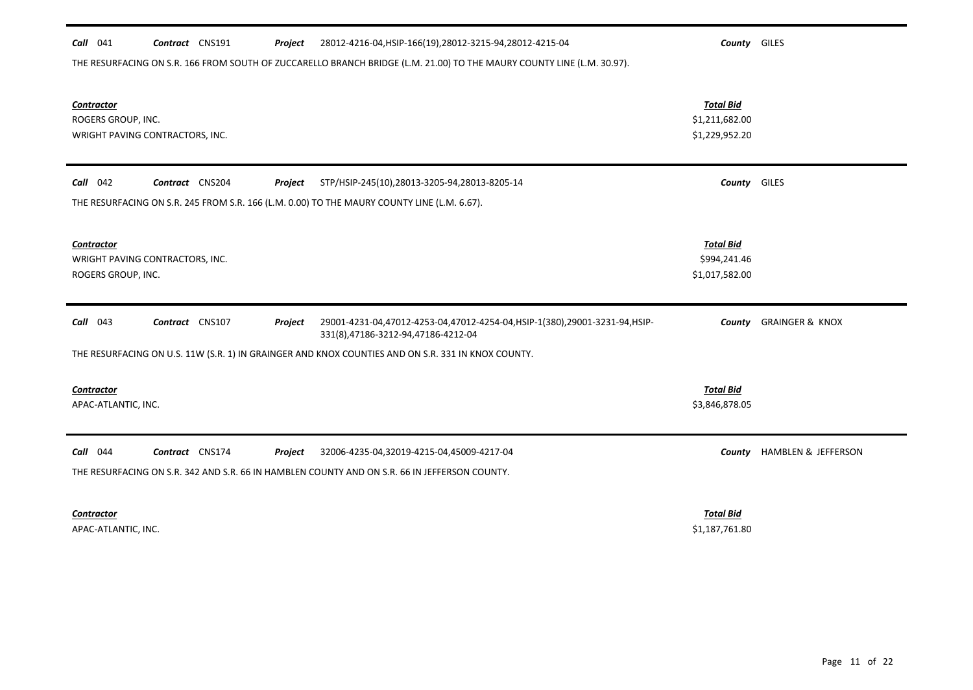| <b>Call</b> 041 | CNS191<br>Contract | Project | 28012-4216-04,HSIP-166(19),28012-3215-94,28012-4215-04 | Countv | <b>GILES</b> |
|-----------------|--------------------|---------|--------------------------------------------------------|--------|--------------|
|-----------------|--------------------|---------|--------------------------------------------------------|--------|--------------|

THE RESURFACING ON S.R. 166 FROM SOUTH OF ZUCCARELLO BRANCH BRIDGE (L.M. 21.00) TO THE MAURY COUNTY LINE (L.M. 30.97).

| Contractor<br>ROGERS GROUP, INC.         | WRIGHT PAVING CONTRACTORS, INC. |         |                                                                                                                 | <b>Total Bid</b><br>\$1,211,682.00<br>\$1,229,952.20 |                            |
|------------------------------------------|---------------------------------|---------|-----------------------------------------------------------------------------------------------------------------|------------------------------------------------------|----------------------------|
| $Call$ 042                               | Contract CNS204                 | Project | STP/HSIP-245(10),28013-3205-94,28013-8205-14                                                                    | <b>County</b> GILES                                  |                            |
|                                          |                                 |         | THE RESURFACING ON S.R. 245 FROM S.R. 166 (L.M. 0.00) TO THE MAURY COUNTY LINE (L.M. 6.67).                     |                                                      |                            |
| <b>Contractor</b><br>ROGERS GROUP, INC.  | WRIGHT PAVING CONTRACTORS, INC. |         |                                                                                                                 | <b>Total Bid</b><br>\$994,241.46<br>\$1,017,582.00   |                            |
| 043<br>Call                              | Contract CNS107                 | Project | 29001-4231-04,47012-4253-04,47012-4254-04,HSIP-1(380),29001-3231-94,HSIP-<br>331(8),47186-3212-94,47186-4212-04 | County                                               | <b>GRAINGER &amp; KNOX</b> |
|                                          |                                 |         | THE RESURFACING ON U.S. 11W (S.R. 1) IN GRAINGER AND KNOX COUNTIES AND ON S.R. 331 IN KNOX COUNTY.              |                                                      |                            |
| <b>Contractor</b><br>APAC-ATLANTIC, INC. |                                 |         |                                                                                                                 | <b>Total Bid</b><br>\$3,846,878.05                   |                            |
| $Call$ 044                               | Contract CNS174                 | Project | 32006-4235-04,32019-4215-04,45009-4217-04                                                                       | County                                               | HAMBLEN & JEFFERSON        |
|                                          |                                 |         | THE RESURFACING ON S.R. 342 AND S.R. 66 IN HAMBLEN COUNTY AND ON S.R. 66 IN JEFFERSON COUNTY.                   |                                                      |                            |
| Contractor                               |                                 |         |                                                                                                                 | <b>Total Bid</b>                                     |                            |

APAC-ATLANTIC, INC. \$1,187,761.80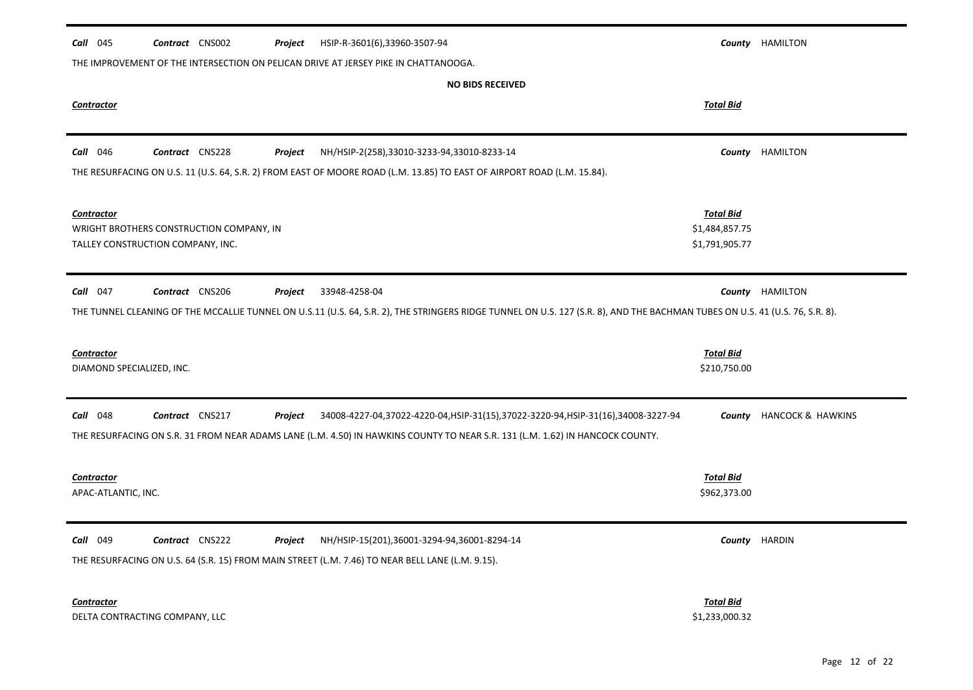| <b>Call</b> 045           | Contract CNS002                          | Project | HSIP-R-3601(6),33960-3507-94                                                                                                                                                 |                                  | County HAMILTON        |
|---------------------------|------------------------------------------|---------|------------------------------------------------------------------------------------------------------------------------------------------------------------------------------|----------------------------------|------------------------|
|                           |                                          |         | THE IMPROVEMENT OF THE INTERSECTION ON PELICAN DRIVE AT JERSEY PIKE IN CHATTANOOGA.                                                                                          |                                  |                        |
|                           |                                          |         | <b>NO BIDS RECEIVED</b>                                                                                                                                                      |                                  |                        |
| Contractor                |                                          |         |                                                                                                                                                                              | <b>Total Bid</b>                 |                        |
|                           |                                          |         |                                                                                                                                                                              |                                  |                        |
| <b>Call</b> 046           | Contract CNS228                          | Project | NH/HSIP-2(258),33010-3233-94,33010-8233-14                                                                                                                                   | County                           | HAMILTON               |
|                           |                                          |         | THE RESURFACING ON U.S. 11 (U.S. 64, S.R. 2) FROM EAST OF MOORE ROAD (L.M. 13.85) TO EAST OF AIRPORT ROAD (L.M. 15.84).                                                      |                                  |                        |
|                           |                                          |         |                                                                                                                                                                              |                                  |                        |
| <b>Contractor</b>         |                                          |         |                                                                                                                                                                              | <b>Total Bid</b>                 |                        |
|                           | WRIGHT BROTHERS CONSTRUCTION COMPANY, IN |         |                                                                                                                                                                              | \$1,484,857.75<br>\$1,791,905.77 |                        |
|                           | TALLEY CONSTRUCTION COMPANY, INC.        |         |                                                                                                                                                                              |                                  |                        |
| Call 047                  | Contract CNS206                          | Project | 33948-4258-04                                                                                                                                                                |                                  | <b>County HAMILTON</b> |
|                           |                                          |         | THE TUNNEL CLEANING OF THE MCCALLIE TUNNEL ON U.S.11 (U.S. 64, S.R. 2), THE STRINGERS RIDGE TUNNEL ON U.S. 127 (S.R. 8), AND THE BACHMAN TUBES ON U.S. 41 (U.S. 76, S.R. 8). |                                  |                        |
|                           |                                          |         |                                                                                                                                                                              |                                  |                        |
| <b>Contractor</b>         |                                          |         |                                                                                                                                                                              | <b>Total Bid</b>                 |                        |
| DIAMOND SPECIALIZED, INC. |                                          |         |                                                                                                                                                                              | \$210,750.00                     |                        |
|                           |                                          |         |                                                                                                                                                                              |                                  |                        |
| <b>Call</b> 048           | Contract CNS217                          | Project | 34008-4227-04,37022-4220-04,HSIP-31(15),37022-3220-94,HSIP-31(16),34008-3227-94                                                                                              | County                           | HANCOCK & HAWKINS      |
|                           |                                          |         | THE RESURFACING ON S.R. 31 FROM NEAR ADAMS LANE (L.M. 4.50) IN HAWKINS COUNTY TO NEAR S.R. 131 (L.M. 1.62) IN HANCOCK COUNTY.                                                |                                  |                        |
|                           |                                          |         |                                                                                                                                                                              |                                  |                        |
| <b>Contractor</b>         |                                          |         |                                                                                                                                                                              | <b>Total Bid</b>                 |                        |
| APAC-ATLANTIC, INC.       |                                          |         |                                                                                                                                                                              | \$962,373.00                     |                        |
|                           |                                          |         |                                                                                                                                                                              |                                  |                        |
| Call 049                  | Contract CNS222                          | Project | NH/HSIP-15(201),36001-3294-94,36001-8294-14                                                                                                                                  |                                  | County HARDIN          |
|                           |                                          |         | THE RESURFACING ON U.S. 64 (S.R. 15) FROM MAIN STREET (L.M. 7.46) TO NEAR BELL LANE (L.M. 9.15).                                                                             |                                  |                        |
| <b>Contractor</b>         |                                          |         |                                                                                                                                                                              | <b>Total Bid</b>                 |                        |
|                           | DELTA CONTRACTING COMPANY, LLC           |         |                                                                                                                                                                              | \$1,233,000.32                   |                        |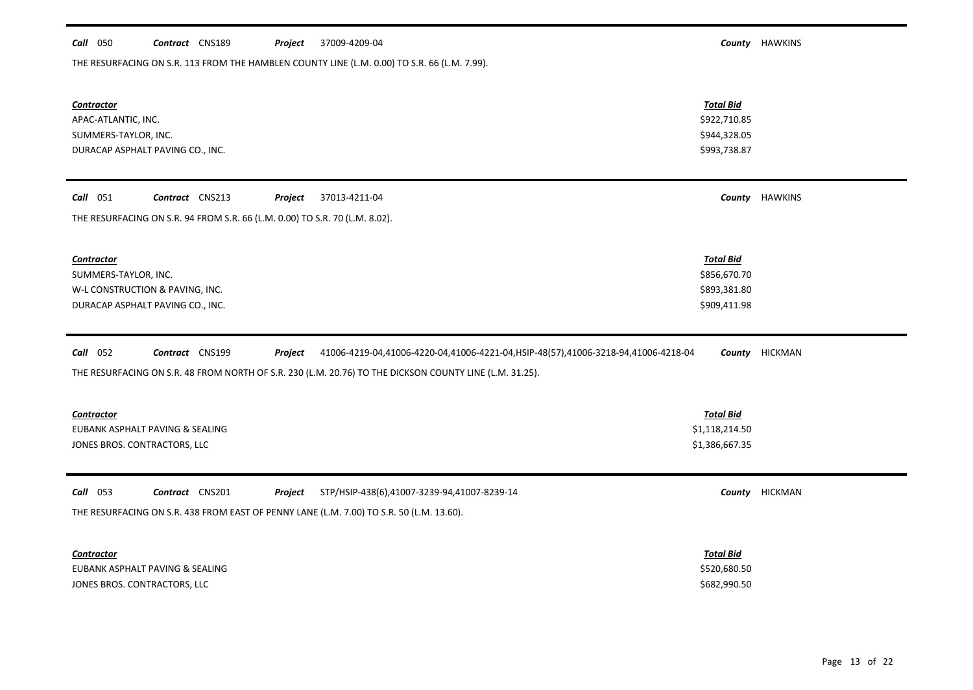## *Call* 050 *Contract* CNS189 *Project County* HAWKINS 37009-4209-04

THE RESURFACING ON S.R. 113 FROM THE HAMBLEN COUNTY LINE (L.M. 0.00) TO S.R. 66 (L.M. 7.99).

| <b>Contractor</b><br>APAC-ATLANTIC, INC.<br>SUMMERS-TAYLOR, INC.<br>DURACAP ASPHALT PAVING CO., INC.                                                                                                                                   | <b>Total Bid</b><br>\$922,710.85<br>\$944,328.05<br>\$993,738.87 |                |
|----------------------------------------------------------------------------------------------------------------------------------------------------------------------------------------------------------------------------------------|------------------------------------------------------------------|----------------|
| Call 051<br>Contract CNS213<br>Project<br>37013-4211-04                                                                                                                                                                                |                                                                  | County HAWKINS |
| THE RESURFACING ON S.R. 94 FROM S.R. 66 (L.M. 0.00) TO S.R. 70 (L.M. 8.02).                                                                                                                                                            |                                                                  |                |
| <b>Contractor</b><br>SUMMERS-TAYLOR, INC.<br>W-L CONSTRUCTION & PAVING, INC.<br>DURACAP ASPHALT PAVING CO., INC.                                                                                                                       | <b>Total Bid</b><br>\$856,670.70<br>\$893,381.80<br>\$909,411.98 |                |
| Call 052<br>Contract CNS199<br>41006-4219-04,41006-4220-04,41006-4221-04,HSIP-48(57),41006-3218-94,41006-4218-04<br>Project<br>THE RESURFACING ON S.R. 48 FROM NORTH OF S.R. 230 (L.M. 20.76) TO THE DICKSON COUNTY LINE (L.M. 31.25). |                                                                  | County HICKMAN |
| <b>Contractor</b><br>EUBANK ASPHALT PAVING & SEALING<br>JONES BROS. CONTRACTORS, LLC                                                                                                                                                   | <b>Total Bid</b><br>\$1,118,214.50<br>\$1,386,667.35             |                |
| Call 053<br>Contract CNS201<br>STP/HSIP-438(6),41007-3239-94,41007-8239-14<br>Project<br>THE RESURFACING ON S.R. 438 FROM EAST OF PENNY LANE (L.M. 7.00) TO S.R. 50 (L.M. 13.60).                                                      |                                                                  | County HICKMAN |
| <b>Contractor</b><br>EUBANK ASPHALT PAVING & SEALING<br>JONES BROS. CONTRACTORS, LLC                                                                                                                                                   | <b>Total Bid</b><br>\$520,680.50<br>\$682,990.50                 |                |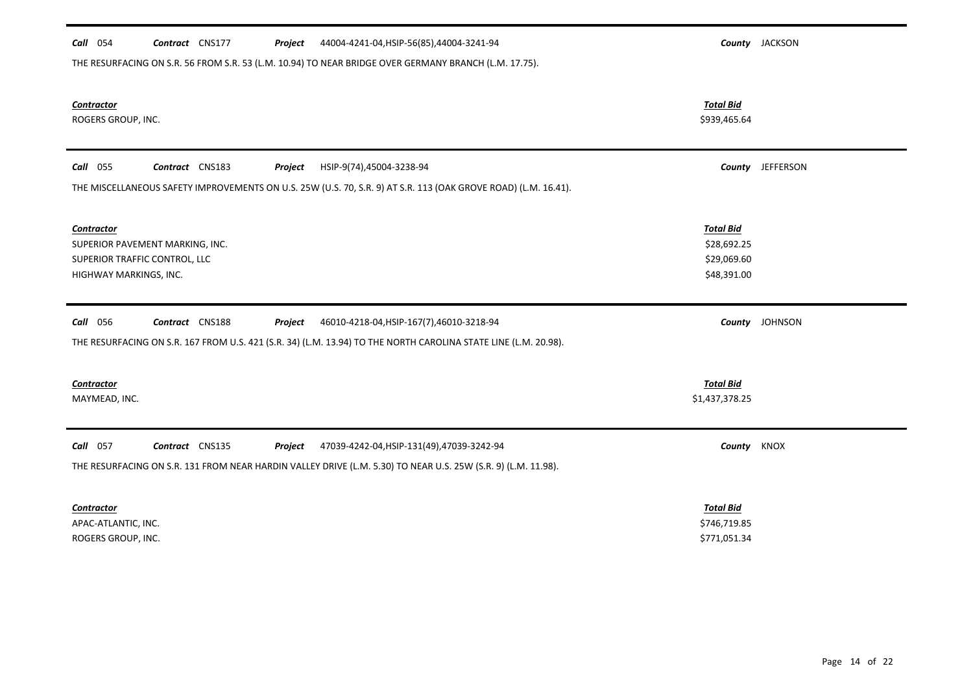| Call 054<br>Contract CNS177<br>44004-4241-04, HSIP-56(85), 44004-3241-94<br>Project                             |                  | County JACKSON   |
|-----------------------------------------------------------------------------------------------------------------|------------------|------------------|
| THE RESURFACING ON S.R. 56 FROM S.R. 53 (L.M. 10.94) TO NEAR BRIDGE OVER GERMANY BRANCH (L.M. 17.75).           |                  |                  |
|                                                                                                                 |                  |                  |
| <b>Contractor</b>                                                                                               | <b>Total Bid</b> |                  |
| ROGERS GROUP, INC.                                                                                              | \$939,465.64     |                  |
|                                                                                                                 |                  |                  |
| <b>Call</b> 055<br>Contract CNS183<br>Project<br>HSIP-9(74),45004-3238-94                                       |                  | County JEFFERSON |
| THE MISCELLANEOUS SAFETY IMPROVEMENTS ON U.S. 25W (U.S. 70, S.R. 9) AT S.R. 113 (OAK GROVE ROAD) (L.M. 16.41).  |                  |                  |
|                                                                                                                 |                  |                  |
| <b>Contractor</b>                                                                                               | <b>Total Bid</b> |                  |
| SUPERIOR PAVEMENT MARKING, INC.                                                                                 | \$28,692.25      |                  |
| SUPERIOR TRAFFIC CONTROL, LLC                                                                                   | \$29,069.60      |                  |
| HIGHWAY MARKINGS, INC.                                                                                          | \$48,391.00      |                  |
|                                                                                                                 |                  |                  |
| Contract CNS188<br>Call 056<br>46010-4218-04, HSIP-167(7), 46010-3218-94<br>Project                             |                  | County JOHNSON   |
| THE RESURFACING ON S.R. 167 FROM U.S. 421 (S.R. 34) (L.M. 13.94) TO THE NORTH CAROLINA STATE LINE (L.M. 20.98). |                  |                  |
|                                                                                                                 |                  |                  |
| <b>Contractor</b>                                                                                               | <b>Total Bid</b> |                  |
| MAYMEAD, INC.                                                                                                   | \$1,437,378.25   |                  |
|                                                                                                                 |                  |                  |
| Call 057<br>Contract CNS135<br>47039-4242-04, HSIP-131(49), 47039-3242-94<br>Project                            | County           | <b>KNOX</b>      |
| THE RESURFACING ON S.R. 131 FROM NEAR HARDIN VALLEY DRIVE (L.M. 5.30) TO NEAR U.S. 25W (S.R. 9) (L.M. 11.98).   |                  |                  |
|                                                                                                                 |                  |                  |
| Contractor                                                                                                      | <b>Total Bid</b> |                  |
| APAC-ATLANTIC, INC.                                                                                             | \$746,719.85     |                  |
| ROGERS GROUP, INC.                                                                                              | \$771,051.34     |                  |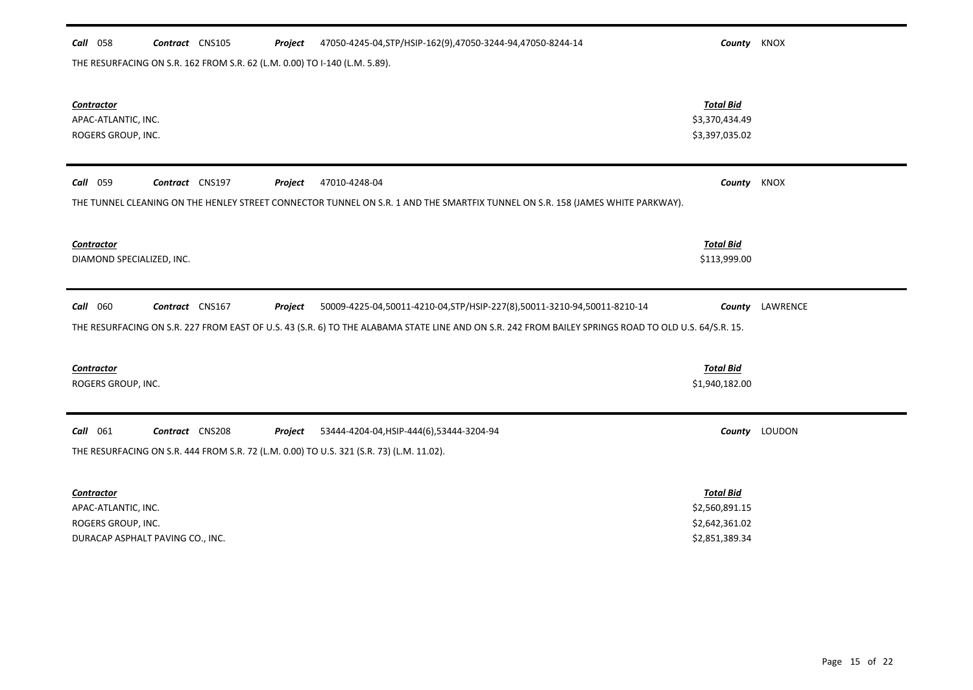## *Call* 058 *Contract* CNS105 *Project County* KNOX 47050-4245-04,STP/HSIP-162(9),47050-3244-94,47050-8244-14

THE RESURFACING ON S.R. 162 FROM S.R. 62 (L.M. 0.00) TO I-140 (L.M. 5.89).

| <b>Contractor</b><br>APAC-ATLANTIC, INC.<br>ROGERS GROUP, INC.                                                                                                                                                                                                                   | <b>Total Bid</b><br>\$3,370,434.49<br>\$3,397,035.02                   |                 |
|----------------------------------------------------------------------------------------------------------------------------------------------------------------------------------------------------------------------------------------------------------------------------------|------------------------------------------------------------------------|-----------------|
| <b>Call</b> 059<br>Contract CNS197<br>47010-4248-04<br>Project<br>THE TUNNEL CLEANING ON THE HENLEY STREET CONNECTOR TUNNEL ON S.R. 1 AND THE SMARTFIX TUNNEL ON S.R. 158 (JAMES WHITE PARKWAY).                                                                                 | County KNOX                                                            |                 |
| Contractor<br>DIAMOND SPECIALIZED, INC.                                                                                                                                                                                                                                          | <b>Total Bid</b><br>\$113,999.00                                       |                 |
| Contract CNS167<br>50009-4225-04,50011-4210-04,STP/HSIP-227(8),50011-3210-94,50011-8210-14<br><b>Call</b> 060<br>Project<br>THE RESURFACING ON S.R. 227 FROM EAST OF U.S. 43 (S.R. 6) TO THE ALABAMA STATE LINE AND ON S.R. 242 FROM BAILEY SPRINGS ROAD TO OLD U.S. 64/S.R. 15. |                                                                        | County LAWRENCE |
| <b>Contractor</b><br>ROGERS GROUP, INC.                                                                                                                                                                                                                                          | <b>Total Bid</b><br>\$1,940,182.00                                     |                 |
| Call 061<br>Contract CNS208<br>53444-4204-04, HSIP-444(6), 53444-3204-94<br>Project<br>THE RESURFACING ON S.R. 444 FROM S.R. 72 (L.M. 0.00) TO U.S. 321 (S.R. 73) (L.M. 11.02).                                                                                                  |                                                                        | County LOUDON   |
| Contractor<br>APAC-ATLANTIC, INC.<br>ROGERS GROUP, INC.<br>DURACAP ASPHALT PAVING CO., INC.                                                                                                                                                                                      | <b>Total Bid</b><br>\$2,560,891.15<br>\$2,642,361.02<br>\$2,851,389.34 |                 |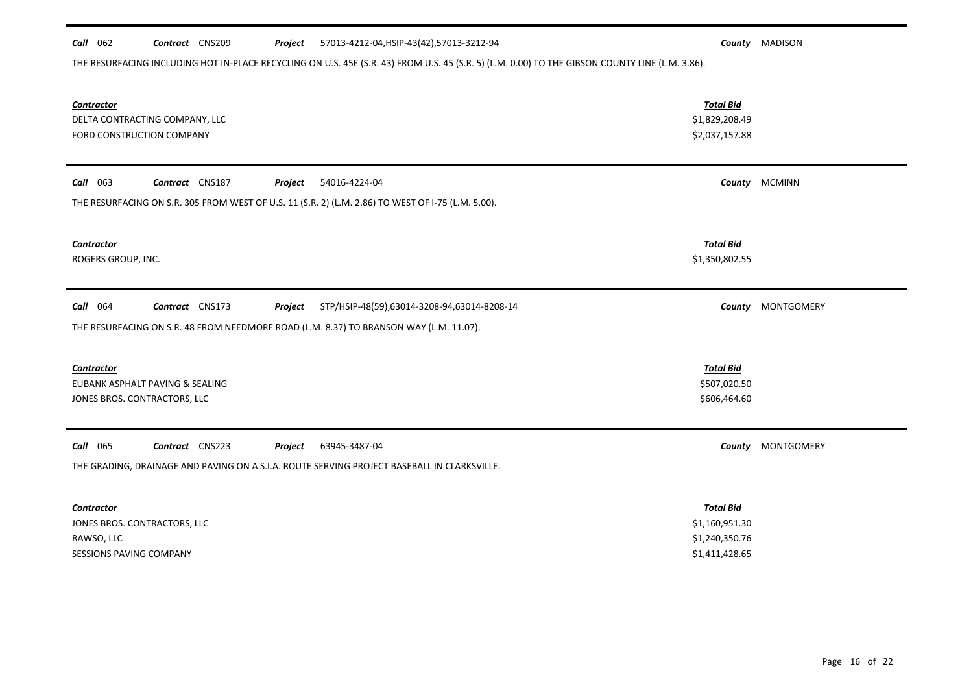| <b>Call</b> 062<br>Contract CNS209<br>57013-4212-04, HSIP-43(42), 57013-3212-94<br>Project                                                      |                                    | <b>County</b> MADISON |
|-------------------------------------------------------------------------------------------------------------------------------------------------|------------------------------------|-----------------------|
| THE RESURFACING INCLUDING HOT IN-PLACE RECYCLING ON U.S. 45E (S.R. 43) FROM U.S. 45 (S.R. 5) (L.M. 0.00) TO THE GIBSON COUNTY LINE (L.M. 3.86). |                                    |                       |
|                                                                                                                                                 |                                    |                       |
| <b>Contractor</b>                                                                                                                               | <b>Total Bid</b><br>\$1,829,208.49 |                       |
| DELTA CONTRACTING COMPANY, LLC<br>FORD CONSTRUCTION COMPANY                                                                                     | \$2,037,157.88                     |                       |
|                                                                                                                                                 |                                    |                       |
| Call 063<br>Contract CNS187<br>Project<br>54016-4224-04                                                                                         |                                    | County MCMINN         |
| THE RESURFACING ON S.R. 305 FROM WEST OF U.S. 11 (S.R. 2) (L.M. 2.86) TO WEST OF I-75 (L.M. 5.00).                                              |                                    |                       |
|                                                                                                                                                 |                                    |                       |
| <b>Contractor</b>                                                                                                                               | <b>Total Bid</b>                   |                       |
| ROGERS GROUP, INC.                                                                                                                              | \$1,350,802.55                     |                       |
|                                                                                                                                                 |                                    |                       |
| Call 064<br>Contract CNS173<br>STP/HSIP-48(59),63014-3208-94,63014-8208-14<br>Project                                                           |                                    | County MONTGOMERY     |
| THE RESURFACING ON S.R. 48 FROM NEEDMORE ROAD (L.M. 8.37) TO BRANSON WAY (L.M. 11.07).                                                          |                                    |                       |
|                                                                                                                                                 |                                    |                       |
| Contractor                                                                                                                                      | <b>Total Bid</b>                   |                       |
| EUBANK ASPHALT PAVING & SEALING                                                                                                                 | \$507,020.50                       |                       |
| JONES BROS. CONTRACTORS, LLC                                                                                                                    | \$606,464.60                       |                       |
|                                                                                                                                                 |                                    |                       |
| <b>Call</b> 065<br>Contract CNS223<br>63945-3487-04<br>Project                                                                                  |                                    | County MONTGOMERY     |
| THE GRADING, DRAINAGE AND PAVING ON A S.I.A. ROUTE SERVING PROJECT BASEBALL IN CLARKSVILLE.                                                     |                                    |                       |
|                                                                                                                                                 |                                    |                       |
| <b>Contractor</b>                                                                                                                               | <b>Total Bid</b>                   |                       |
| JONES BROS. CONTRACTORS, LLC                                                                                                                    | \$1,160,951.30                     |                       |
| RAWSO, LLC                                                                                                                                      | \$1,240,350.76                     |                       |

SESSIONS PAVING COMPANY \$1,411,428.65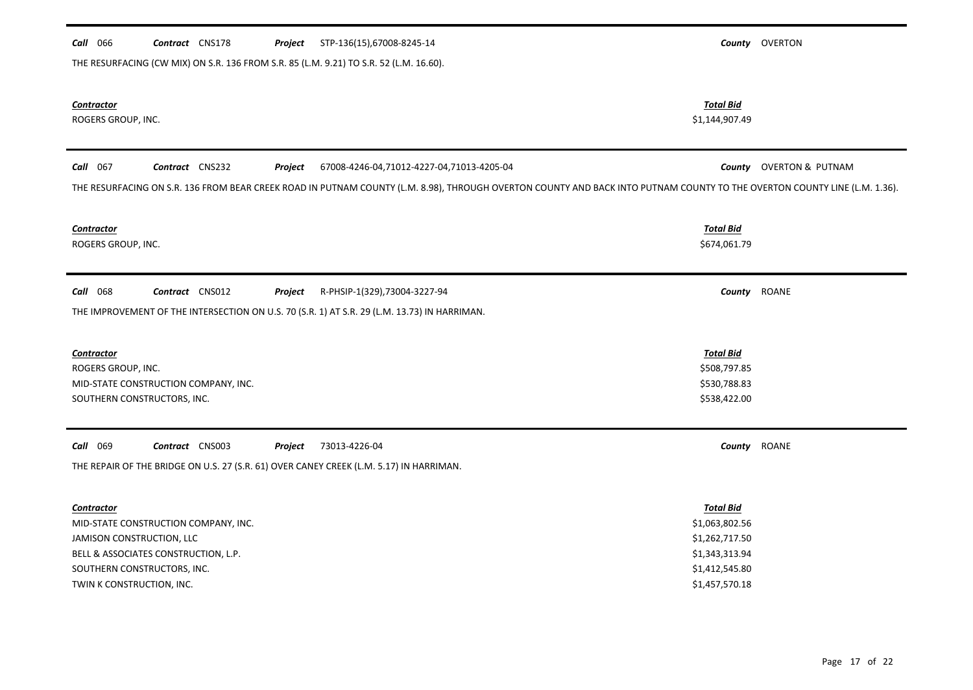| Call 066                                | Contract CNS178                      | Project | STP-136(15),67008-8245-14                                                                                                                                                 |                                    | County OVERTON                 |
|-----------------------------------------|--------------------------------------|---------|---------------------------------------------------------------------------------------------------------------------------------------------------------------------------|------------------------------------|--------------------------------|
|                                         |                                      |         | THE RESURFACING (CW MIX) ON S.R. 136 FROM S.R. 85 (L.M. 9.21) TO S.R. 52 (L.M. 16.60).                                                                                    |                                    |                                |
| <b>Contractor</b><br>ROGERS GROUP, INC. |                                      |         |                                                                                                                                                                           | <b>Total Bid</b><br>\$1,144,907.49 |                                |
| Call 067                                | Contract CNS232                      | Project | 67008-4246-04,71012-4227-04,71013-4205-04                                                                                                                                 |                                    | <b>County</b> OVERTON & PUTNAM |
|                                         |                                      |         | THE RESURFACING ON S.R. 136 FROM BEAR CREEK ROAD IN PUTNAM COUNTY (L.M. 8.98), THROUGH OVERTON COUNTY AND BACK INTO PUTNAM COUNTY TO THE OVERTON COUNTY LINE (L.M. 1.36). |                                    |                                |
| <b>Contractor</b><br>ROGERS GROUP, INC. |                                      |         |                                                                                                                                                                           | <b>Total Bid</b><br>\$674,061.79   |                                |
| Call 068                                | Contract CNS012                      | Project | R-PHSIP-1(329),73004-3227-94<br>THE IMPROVEMENT OF THE INTERSECTION ON U.S. 70 (S.R. 1) AT S.R. 29 (L.M. 13.73) IN HARRIMAN.                                              | County                             | <b>ROANE</b>                   |
|                                         |                                      |         |                                                                                                                                                                           |                                    |                                |
| <b>Contractor</b>                       |                                      |         |                                                                                                                                                                           | <b>Total Bid</b>                   |                                |
| ROGERS GROUP, INC.                      |                                      |         |                                                                                                                                                                           | \$508,797.85                       |                                |
|                                         | MID-STATE CONSTRUCTION COMPANY, INC. |         |                                                                                                                                                                           | \$530,788.83                       |                                |
| SOUTHERN CONSTRUCTORS, INC.             |                                      |         |                                                                                                                                                                           | \$538,422.00                       |                                |
| Call 069                                | Contract CNS003                      | Project | 73013-4226-04                                                                                                                                                             |                                    | County ROANE                   |
|                                         |                                      |         | THE REPAIR OF THE BRIDGE ON U.S. 27 (S.R. 61) OVER CANEY CREEK (L.M. 5.17) IN HARRIMAN.                                                                                   |                                    |                                |
| Contractor                              |                                      |         |                                                                                                                                                                           | <b>Total Bid</b>                   |                                |
|                                         | MID-STATE CONSTRUCTION COMPANY, INC. |         |                                                                                                                                                                           | \$1,063,802.56                     |                                |
| JAMISON CONSTRUCTION, LLC               |                                      |         |                                                                                                                                                                           | \$1,262,717.50                     |                                |
|                                         | BELL & ASSOCIATES CONSTRUCTION, L.P. |         |                                                                                                                                                                           | \$1,343,313.94                     |                                |
| SOUTHERN CONSTRUCTORS, INC.             |                                      |         |                                                                                                                                                                           | \$1,412,545.80                     |                                |
| TWIN K CONSTRUCTION, INC.               |                                      |         |                                                                                                                                                                           | \$1,457,570.18                     |                                |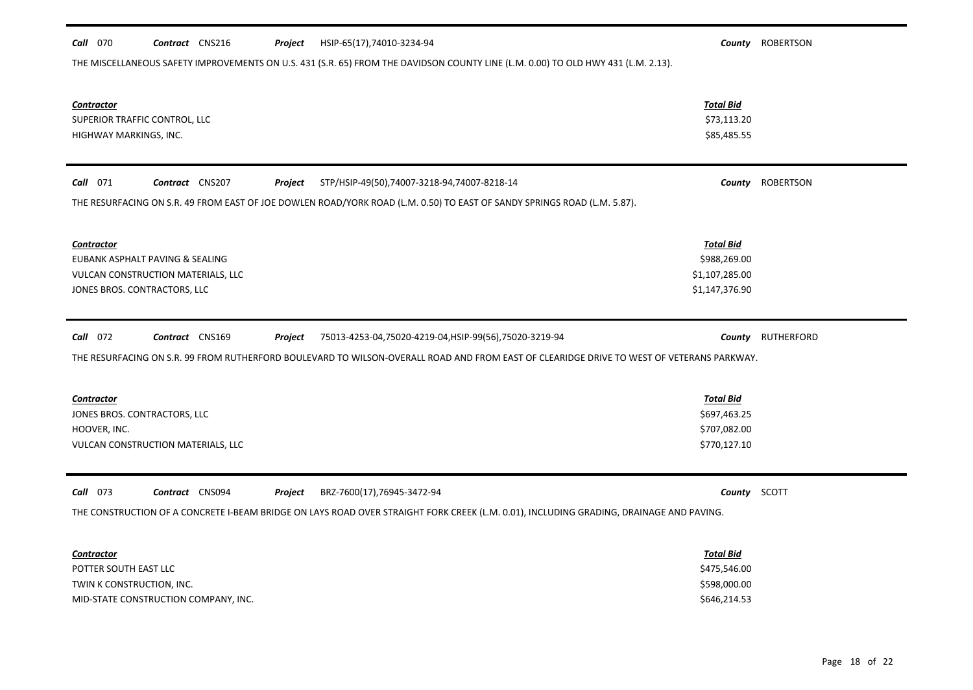| HSIP-65(17),74010-3234-94<br><b>Call</b> 070<br>Contract CNS216<br>Project<br>THE MISCELLANEOUS SAFETY IMPROVEMENTS ON U.S. 431 (S.R. 65) FROM THE DAVIDSON COUNTY LINE (L.M. 0.00) TO OLD HWY 431 (L.M. 2.13). |                                                                      | County ROBERTSON  |
|-----------------------------------------------------------------------------------------------------------------------------------------------------------------------------------------------------------------|----------------------------------------------------------------------|-------------------|
| <b>Contractor</b><br>SUPERIOR TRAFFIC CONTROL, LLC<br>HIGHWAY MARKINGS, INC.                                                                                                                                    | <b>Total Bid</b><br>\$73,113.20<br>\$85,485.55                       |                   |
| <b>Call</b> 071<br>Contract CNS207<br>STP/HSIP-49(50),74007-3218-94,74007-8218-14<br>Project                                                                                                                    |                                                                      | County ROBERTSON  |
| THE RESURFACING ON S.R. 49 FROM EAST OF JOE DOWLEN ROAD/YORK ROAD (L.M. 0.50) TO EAST OF SANDY SPRINGS ROAD (L.M. 5.87).                                                                                        |                                                                      |                   |
| Contractor<br>EUBANK ASPHALT PAVING & SEALING<br>VULCAN CONSTRUCTION MATERIALS, LLC<br>JONES BROS. CONTRACTORS, LLC                                                                                             | <b>Total Bid</b><br>\$988,269.00<br>\$1,107,285.00<br>\$1,147,376.90 |                   |
|                                                                                                                                                                                                                 |                                                                      |                   |
| Call 072<br>Contract CNS169<br>75013-4253-04,75020-4219-04,HSIP-99(56),75020-3219-94<br>Project                                                                                                                 |                                                                      | County RUTHERFORD |
| THE RESURFACING ON S.R. 99 FROM RUTHERFORD BOULEVARD TO WILSON-OVERALL ROAD AND FROM EAST OF CLEARIDGE DRIVE TO WEST OF VETERANS PARKWAY.                                                                       |                                                                      |                   |
| <b>Contractor</b><br>JONES BROS. CONTRACTORS, LLC<br>HOOVER, INC.<br>VULCAN CONSTRUCTION MATERIALS, LLC                                                                                                         | <b>Total Bid</b><br>\$697,463.25<br>\$707,082.00<br>\$770,127.10     |                   |
| $Call$ 073<br>Contract CNS094<br>BRZ-7600(17),76945-3472-94<br>Project                                                                                                                                          | County SCOTT                                                         |                   |
| THE CONSTRUCTION OF A CONCRETE I-BEAM BRIDGE ON LAYS ROAD OVER STRAIGHT FORK CREEK (L.M. 0.01), INCLUDING GRADING, DRAINAGE AND PAVING.                                                                         |                                                                      |                   |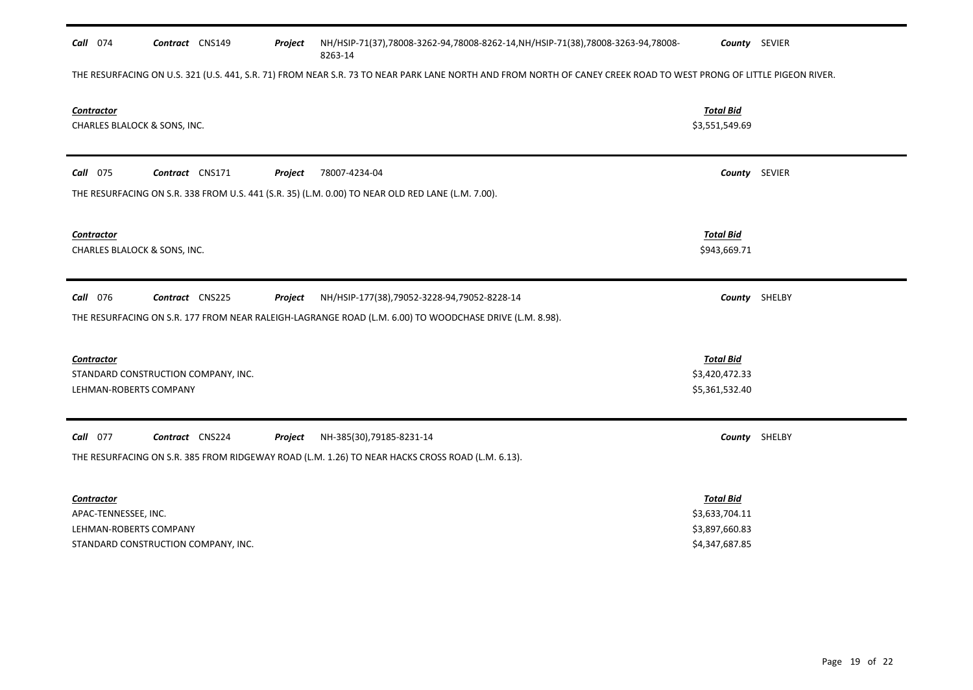| Call 074                                                            | Contract CNS149                     | Project | NH/HSIP-71(37),78008-3262-94,78008-8262-14,NH/HSIP-71(38),78008-3263-94,78008-<br>8263-14                                                                          |                                                                        | County SEVIER |
|---------------------------------------------------------------------|-------------------------------------|---------|--------------------------------------------------------------------------------------------------------------------------------------------------------------------|------------------------------------------------------------------------|---------------|
|                                                                     |                                     |         | THE RESURFACING ON U.S. 321 (U.S. 441, S.R. 71) FROM NEAR S.R. 73 TO NEAR PARK LANE NORTH AND FROM NORTH OF CANEY CREEK ROAD TO WEST PRONG OF LITTLE PIGEON RIVER. |                                                                        |               |
| <b>Contractor</b><br>CHARLES BLALOCK & SONS, INC.                   |                                     |         |                                                                                                                                                                    | <b>Total Bid</b><br>\$3,551,549.69                                     |               |
| <b>Call</b> 075                                                     | Contract CNS171                     | Project | 78007-4234-04                                                                                                                                                      |                                                                        | County SEVIER |
|                                                                     |                                     |         | THE RESURFACING ON S.R. 338 FROM U.S. 441 (S.R. 35) (L.M. 0.00) TO NEAR OLD RED LANE (L.M. 7.00).                                                                  |                                                                        |               |
| Contractor<br>CHARLES BLALOCK & SONS, INC.                          |                                     |         |                                                                                                                                                                    | <b>Total Bid</b><br>\$943,669.71                                       |               |
| <b>Call</b> 076                                                     | Contract CNS225                     | Project | NH/HSIP-177(38),79052-3228-94,79052-8228-14                                                                                                                        |                                                                        | County SHELBY |
|                                                                     |                                     |         | THE RESURFACING ON S.R. 177 FROM NEAR RALEIGH-LAGRANGE ROAD (L.M. 6.00) TO WOODCHASE DRIVE (L.M. 8.98).                                                            |                                                                        |               |
| <b>Contractor</b><br>LEHMAN-ROBERTS COMPANY                         | STANDARD CONSTRUCTION COMPANY, INC. |         |                                                                                                                                                                    | <b>Total Bid</b><br>\$3,420,472.33<br>\$5,361,532.40                   |               |
| Call 077                                                            | Contract CNS224                     | Project | NH-385(30),79185-8231-14                                                                                                                                           |                                                                        | County SHELBY |
|                                                                     |                                     |         | THE RESURFACING ON S.R. 385 FROM RIDGEWAY ROAD (L.M. 1.26) TO NEAR HACKS CROSS ROAD (L.M. 6.13).                                                                   |                                                                        |               |
| <b>Contractor</b><br>APAC-TENNESSEE, INC.<br>LEHMAN-ROBERTS COMPANY | STANDARD CONSTRUCTION COMPANY, INC. |         |                                                                                                                                                                    | <b>Total Bid</b><br>\$3,633,704.11<br>\$3,897,660.83<br>\$4,347,687.85 |               |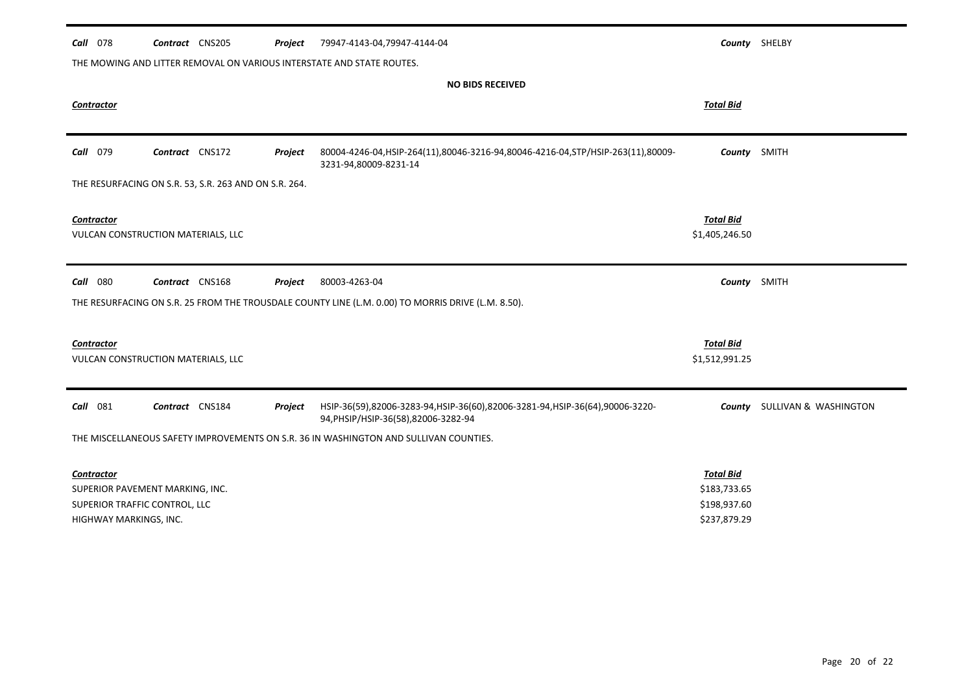| Call<br>078                                             | Contract CNS205 | Project | 79947-4143-04,79947-4144-04                                                                                         |                                    | County SHELBY                       |
|---------------------------------------------------------|-----------------|---------|---------------------------------------------------------------------------------------------------------------------|------------------------------------|-------------------------------------|
|                                                         |                 |         | THE MOWING AND LITTER REMOVAL ON VARIOUS INTERSTATE AND STATE ROUTES.                                               |                                    |                                     |
|                                                         |                 |         | <b>NO BIDS RECEIVED</b>                                                                                             |                                    |                                     |
| Contractor                                              |                 |         |                                                                                                                     | <b>Total Bid</b>                   |                                     |
|                                                         |                 |         |                                                                                                                     |                                    |                                     |
| Call 079                                                | Contract CNS172 | Project | 80004-4246-04, HSIP-264(11), 80046-3216-94, 80046-4216-04, STP/HSIP-263(11), 80009-<br>3231-94,80009-8231-14        | County SMITH                       |                                     |
| THE RESURFACING ON S.R. 53, S.R. 263 AND ON S.R. 264.   |                 |         |                                                                                                                     |                                    |                                     |
|                                                         |                 |         |                                                                                                                     |                                    |                                     |
| <b>Contractor</b><br>VULCAN CONSTRUCTION MATERIALS, LLC |                 |         |                                                                                                                     | <b>Total Bid</b><br>\$1,405,246.50 |                                     |
|                                                         |                 |         |                                                                                                                     |                                    |                                     |
|                                                         |                 |         |                                                                                                                     |                                    |                                     |
| Call 080                                                | Contract CNS168 | Project | 80003-4263-04                                                                                                       | County SMITH                       |                                     |
|                                                         |                 |         | THE RESURFACING ON S.R. 25 FROM THE TROUSDALE COUNTY LINE (L.M. 0.00) TO MORRIS DRIVE (L.M. 8.50).                  |                                    |                                     |
|                                                         |                 |         |                                                                                                                     |                                    |                                     |
| Contractor                                              |                 |         |                                                                                                                     | <b>Total Bid</b><br>\$1,512,991.25 |                                     |
| VULCAN CONSTRUCTION MATERIALS, LLC                      |                 |         |                                                                                                                     |                                    |                                     |
| Call<br>081                                             | Contract CNS184 | Project | HSIP-36(59),82006-3283-94,HSIP-36(60),82006-3281-94,HSIP-36(64),90006-3220-<br>94, PHSIP/HSIP-36(58), 82006-3282-94 |                                    | <b>County</b> SULLIVAN & WASHINGTON |
|                                                         |                 |         | THE MISCELLANEOUS SAFETY IMPROVEMENTS ON S.R. 36 IN WASHINGTON AND SULLIVAN COUNTIES.                               |                                    |                                     |
|                                                         |                 |         |                                                                                                                     |                                    |                                     |
| Contractor<br>SUPERIOR PAVEMENT MARKING, INC.           |                 |         |                                                                                                                     | <b>Total Bid</b><br>\$183,733.65   |                                     |
| SUPERIOR TRAFFIC CONTROL, LLC                           |                 |         |                                                                                                                     | \$198,937.60                       |                                     |
| HIGHWAY MARKINGS, INC.                                  |                 |         |                                                                                                                     | \$237,879.29                       |                                     |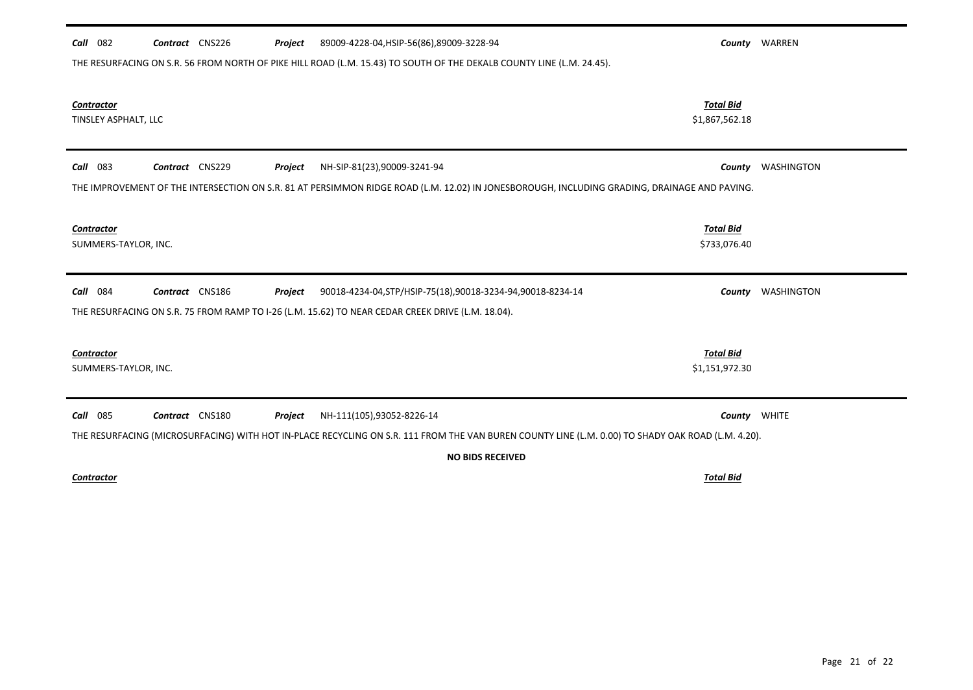| 082<br>89009-4228-04, HSIP-56(86), 89009-3228-94<br>Contract CNS226<br>Call<br>Project                                                             |                                    | <b>County</b> WARREN     |
|----------------------------------------------------------------------------------------------------------------------------------------------------|------------------------------------|--------------------------|
| THE RESURFACING ON S.R. 56 FROM NORTH OF PIKE HILL ROAD (L.M. 15.43) TO SOUTH OF THE DEKALB COUNTY LINE (L.M. 24.45).                              |                                    |                          |
| Contractor<br>TINSLEY ASPHALT, LLC                                                                                                                 | <b>Total Bid</b><br>\$1,867,562.18 |                          |
|                                                                                                                                                    |                                    |                          |
| Contract CNS229<br>083<br>Project<br>NH-SIP-81(23),90009-3241-94<br>Call                                                                           | County                             | WASHINGTON               |
| THE IMPROVEMENT OF THE INTERSECTION ON S.R. 81 AT PERSIMMON RIDGE ROAD (L.M. 12.02) IN JONESBOROUGH, INCLUDING GRADING, DRAINAGE AND PAVING.       |                                    |                          |
|                                                                                                                                                    |                                    |                          |
| Contractor<br>SUMMERS-TAYLOR, INC.                                                                                                                 | <b>Total Bid</b><br>\$733,076.40   |                          |
|                                                                                                                                                    |                                    |                          |
| 084<br>Contract CNS186<br>Project<br>90018-4234-04, STP/HSIP-75(18), 90018-3234-94, 90018-8234-14<br>Call                                          |                                    | <b>County</b> WASHINGTON |
| THE RESURFACING ON S.R. 75 FROM RAMP TO I-26 (L.M. 15.62) TO NEAR CEDAR CREEK DRIVE (L.M. 18.04).                                                  |                                    |                          |
|                                                                                                                                                    |                                    |                          |
| Contractor<br>SUMMERS-TAYLOR, INC.                                                                                                                 | <b>Total Bid</b><br>\$1,151,972.30 |                          |
|                                                                                                                                                    |                                    |                          |
| 085<br>Call<br>Contract CNS180<br>Project<br>NH-111(105),93052-8226-14                                                                             |                                    | County WHITE             |
| THE RESURFACING (MICROSURFACING) WITH HOT IN-PLACE RECYCLING ON S.R. 111 FROM THE VAN BUREN COUNTY LINE (L.M. 0.00) TO SHADY OAK ROAD (L.M. 4.20). |                                    |                          |
| <b>NO BIDS RECEIVED</b>                                                                                                                            |                                    |                          |
| Contractor                                                                                                                                         | <b>Total Bid</b>                   |                          |